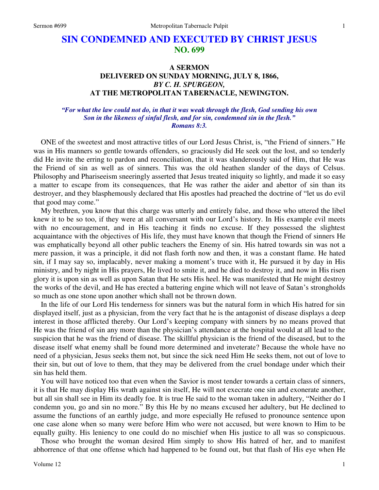# **SIN CONDEMNED AND EXECUTED BY CHRIST JESUS NO. 699**

## **A SERMON DELIVERED ON SUNDAY MORNING, JULY 8, 1866,**  *BY C. H. SPURGEON,*  **AT THE METROPOLITAN TABERNACLE, NEWINGTON.**

### *"For what the law could not do, in that it was weak through the flesh, God sending his own Son in the likeness of sinful flesh, and for sin, condemned sin in the flesh." Romans 8:3.*

ONE of the sweetest and most attractive titles of our Lord Jesus Christ, is, "the Friend of sinners." He was in His manners so gentle towards offenders, so graciously did He seek out the lost, and so tenderly did He invite the erring to pardon and reconciliation, that it was slanderously said of Him, that He was the Friend of sin as well as of sinners. This was the old heathen slander of the days of Celsus. Philosophy and Phariseeism sneeringly asserted that Jesus treated iniquity so lightly, and made it so easy a matter to escape from its consequences, that He was rather the aider and abettor of sin than its destroyer, and they blasphemously declared that His apostles had preached the doctrine of "let us do evil that good may come."

 My brethren, you know that this charge was utterly and entirely false, and those who uttered the libel knew it to be so too, if they were at all conversant with our Lord's history. In His example evil meets with no encouragement, and in His teaching it finds no excuse. If they possessed the slightest acquaintance with the objectives of His life, they must have known that though the Friend of sinners He was emphatically beyond all other public teachers the Enemy of sin. His hatred towards sin was not a mere passion, it was a principle, it did not flash forth now and then, it was a constant flame. He hated sin, if I may say so, implacably, never making a moment's truce with it, He pursued it by day in His ministry, and by night in His prayers, He lived to smite it, and he died to destroy it, and now in His risen glory it is upon sin as well as upon Satan that He sets His heel. He was manifested that He might destroy the works of the devil, and He has erected a battering engine which will not leave of Satan's strongholds so much as one stone upon another which shall not be thrown down.

 In the life of our Lord His tenderness for sinners was but the natural form in which His hatred for sin displayed itself, just as a physician, from the very fact that he is the antagonist of disease displays a deep interest in those afflicted thereby. Our Lord's keeping company with sinners by no means proved that He was the friend of sin any more than the physician's attendance at the hospital would at all lead to the suspicion that he was the friend of disease. The skillful physician is the friend of the diseased, but to the disease itself what enemy shall be found more determined and inveterate? Because the whole have no need of a physician, Jesus seeks them not, but since the sick need Him He seeks them, not out of love to their sin, but out of love to them, that they may be delivered from the cruel bondage under which their sin has held them.

 You will have noticed too that even when the Savior is most tender towards a certain class of sinners, it is that He may display His wrath against sin itself, He will not execrate one sin and exonerate another, but all sin shall see in Him its deadly foe. It is true He said to the woman taken in adultery, "Neither do I condemn you, go and sin no more." By this He by no means excused her adultery, but He declined to assume the functions of an earthly judge, and more especially He refused to pronounce sentence upon one case alone when so many were before Him who were not accused, but were known to Him to be equally guilty. His leniency to one could do no mischief when His justice to all was so conspicuous.

 Those who brought the woman desired Him simply to show His hatred of her, and to manifest abhorrence of that one offense which had happened to be found out, but that flash of His eye when He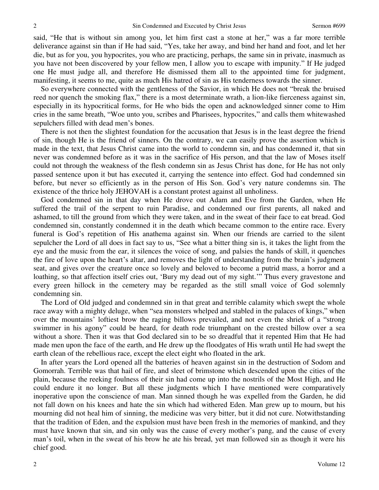said, "He that is without sin among you, let him first cast a stone at her," was a far more terrible deliverance against sin than if He had said, "Yes, take her away, and bind her hand and foot, and let her die, but as for you, you hypocrites, you who are practicing, perhaps, the same sin in private, inasmuch as you have not been discovered by your fellow men, I allow you to escape with impunity." If He judged one He must judge all, and therefore He dismissed them all to the appointed time for judgment, manifesting, it seems to me, quite as much His hatred of sin as His tenderness towards the sinner.

 So everywhere connected with the gentleness of the Savior, in which He does not "break the bruised reed nor quench the smoking flax," there is a most determinate wrath, a lion-like fierceness against sin, especially in its hypocritical forms, for He who bids the open and acknowledged sinner come to Him cries in the same breath, "Woe unto you, scribes and Pharisees, hypocrites," and calls them whitewashed sepulchers filled with dead men's bones.

 There is not then the slightest foundation for the accusation that Jesus is in the least degree the friend of sin, though He is the friend of sinners. On the contrary, we can easily prove the assertion which is made in the text, that Jesus Christ came into the world to condemn sin, and has condemned it, that sin never was condemned before as it was in the sacrifice of His person, and that the law of Moses itself could not through the weakness of the flesh condemn sin as Jesus Christ has done, for He has not only passed sentence upon it but has executed it, carrying the sentence into effect. God had condemned sin before, but never so efficiently as in the person of His Son. God's very nature condemns sin. The existence of the thrice holy JEHOVAH is a constant protest against all unholiness.

 God condemned sin in that day when He drove out Adam and Eve from the Garden, when He suffered the trail of the serpent to ruin Paradise, and condemned our first parents, all naked and ashamed, to till the ground from which they were taken, and in the sweat of their face to eat bread. God condemned sin, constantly condemned it in the death which became common to the entire race. Every funeral is God's repetition of His anathema against sin. When our friends are carried to the silent sepulcher the Lord of all does in fact say to us, "See what a bitter thing sin is, it takes the light from the eye and the music from the ear, it silences the voice of song, and palsies the hands of skill, it quenches the fire of love upon the heart's altar, and removes the light of understanding from the brain's judgment seat, and gives over the creature once so lovely and beloved to become a putrid mass, a horror and a loathing, so that affection itself cries out, 'Bury my dead out of my sight.'" Thus every gravestone and every green hillock in the cemetery may be regarded as the still small voice of God solemnly condemning sin.

 The Lord of Old judged and condemned sin in that great and terrible calamity which swept the whole race away with a mighty deluge, when "sea monsters whelped and stabled in the palaces of kings," when over the mountains' loftiest brow the raging billows prevailed, and not even the shriek of a "strong swimmer in his agony" could be heard, for death rode triumphant on the crested billow over a sea without a shore. Then it was that God declared sin to be so dreadful that it repented Him that He had made men upon the face of the earth, and He drew up the floodgates of His wrath until He had swept the earth clean of the rebellious race, except the elect eight who floated in the ark.

 In after years the Lord opened all the batteries of heaven against sin in the destruction of Sodom and Gomorrah. Terrible was that hail of fire, and sleet of brimstone which descended upon the cities of the plain, because the reeking foulness of their sin had come up into the nostrils of the Most High, and He could endure it no longer. But all these judgments which I have mentioned were comparatively inoperative upon the conscience of man. Man sinned though he was expelled from the Garden, he did not fall down on his knees and hate the sin which had withered Eden. Man grew up to mourn, but his mourning did not heal him of sinning, the medicine was very bitter, but it did not cure. Notwithstanding that the tradition of Eden, and the expulsion must have been fresh in the memories of mankind, and they must have known that sin, and sin only was the cause of every mother's pang, and the cause of every man's toil, when in the sweat of his brow he ate his bread, yet man followed sin as though it were his chief good.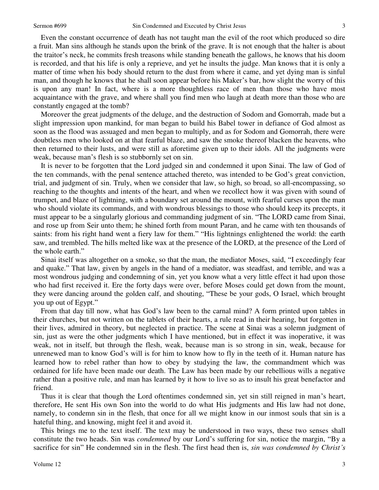Even the constant occurrence of death has not taught man the evil of the root which produced so dire a fruit. Man sins although he stands upon the brink of the grave. It is not enough that the halter is about the traitor's neck, he commits fresh treasons while standing beneath the gallows, he knows that his doom is recorded, and that his life is only a reprieve, and yet he insults the judge. Man knows that it is only a matter of time when his body should return to the dust from where it came, and yet dying man is sinful man, and though he knows that he shall soon appear before his Maker's bar, how slight the worry of this is upon any man! In fact, where is a more thoughtless race of men than those who have most acquaintance with the grave, and where shall you find men who laugh at death more than those who are constantly engaged at the tomb?

 Moreover the great judgments of the deluge, and the destruction of Sodom and Gomorrah, made but a slight impression upon mankind, for man began to build his Babel tower in defiance of God almost as soon as the flood was assuaged and men began to multiply, and as for Sodom and Gomorrah, there were doubtless men who looked on at that fearful blaze, and saw the smoke thereof blacken the heavens, who then returned to their lusts, and were still as aforetime given up to their idols. All the judgments were weak, because man's flesh is so stubbornly set on sin.

It is never to be forgotten that the Lord judged sin and condemned it upon Sinai. The law of God of the ten commands, with the penal sentence attached thereto, was intended to be God's great conviction, trial, and judgment of sin. Truly, when we consider that law, so high, so broad, so all-encompassing, so reaching to the thoughts and intents of the heart, and when we recollect how it was given with sound of trumpet, and blaze of lightning, with a boundary set around the mount, with fearful curses upon the man who should violate its commands, and with wondrous blessings to those who should keep its precepts, it must appear to be a singularly glorious and commanding judgment of sin. "The LORD came from Sinai, and rose up from Seir unto them; he shined forth from mount Paran, and he came with ten thousands of saints: from his right hand went a fiery law for them." "His lightnings enlightened the world: the earth saw, and trembled. The hills melted like wax at the presence of the LORD, at the presence of the Lord of the whole earth."

 Sinai itself was altogether on a smoke, so that the man, the mediator Moses, said, "I exceedingly fear and quake." That law, given by angels in the hand of a mediator, was steadfast, and terrible, and was a most wondrous judging and condemning of sin, yet you know what a very little effect it had upon those who had first received it. Ere the forty days were over, before Moses could get down from the mount, they were dancing around the golden calf, and shouting, "These be your gods, O Israel, which brought you up out of Egypt."

 From that day till now, what has God's law been to the carnal mind? A form printed upon tables in their churches, but not written on the tablets of their hearts, a rule read in their hearing, but forgotten in their lives, admired in theory, but neglected in practice. The scene at Sinai was a solemn judgment of sin, just as were the other judgments which I have mentioned, but in effect it was inoperative, it was weak, not in itself, but through the flesh, weak, because man is so strong in sin, weak, because for unrenewed man to know God's will is for him to know how to fly in the teeth of it. Human nature has learned how to rebel rather than how to obey by studying the law, the commandment which was ordained for life have been made our death. The Law has been made by our rebellious wills a negative rather than a positive rule, and man has learned by it how to live so as to insult his great benefactor and friend.

 Thus it is clear that though the Lord oftentimes condemned sin, yet sin still reigned in man's heart, therefore, He sent His own Son into the world to do what His judgments and His law had not done, namely, to condemn sin in the flesh, that once for all we might know in our inmost souls that sin is a hateful thing, and knowing, might feel it and avoid it.

 This brings me to the text itself. The text may be understood in two ways, these two senses shall constitute the two heads. Sin was *condemned* by our Lord's suffering for sin, notice the margin, "By a sacrifice for sin" He condemned sin in the flesh. The first head then is, *sin was condemned by Christ's*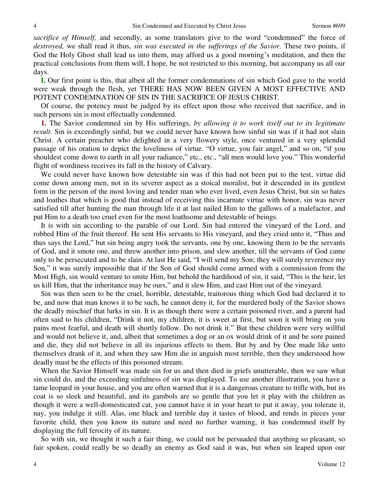*sacrifice of Himself,* and secondly, as some translators give to the word "condemned" the force of *destroyed,* we shall read it thus, *sin was executed in the sufferings of the Savior.* These two points, if God the Holy Ghost shall lead us into them, may afford us a good morning's meditation, and then the practical conclusions from them will, I hope, be not restricted to this morning, but accompany us all our days.

**I.** Our first point is this, that albeit all the former condemnations of sin which God gave to the world were weak through the flesh, yet THERE HAS NOW BEEN GIVEN A MOST EFFECTIVE AND POTENT CONDEMNATION OF SIN IN THE SACRIFICE OF JESUS CHRIST.

 Of course, the potency must be judged by its effect upon those who received that sacrifice, and in such persons sin is most effectually condemned.

**1.** The Savior condemned sin by His sufferings, *by allowing it to work itself out to its legitimate result.* Sin is exceedingly sinful, but we could never have known how sinful sin was if it had not slain Christ. A certain preacher who delighted in a very flowery style, once ventured in a very splendid passage of his oration to depict the loveliness of virtue. "O virtue, you fair angel," and so on, "if you shouldest come down to earth in all your radiance," etc., etc., "all men would love you." This wonderful flight of wordiness receives its fall in the history of Calvary.

 We could never have known how detestable sin was if this had not been put to the test, virtue did come down among men, not in its severer aspect as a stoical moralist, but it descended in its gentlest form in the person of the most loving and tender man who ever lived, even Jesus Christ, but sin so hates and loathes that which is good that instead of receiving this incarnate virtue with honor, sin was never satisfied till after hunting the man through life it at last nailed Him to the gallows of a malefactor, and put Him to a death too cruel even for the most loathsome and detestable of beings.

 It is with sin according to the parable of our Lord. Sin had entered the vineyard of the Lord, and robbed Him of the fruit thereof. He sent His servants to His vineyard, and they cried unto it, "Thus and thus says the Lord," but sin being angry took the servants, one by one, knowing them to be the servants of God, and it smote one, and threw another into prison, and slew another, till the servants of God came only to be persecuted and to be slain. At last He said, "I will send my Son; they will surely reverence my Son," it was surely impossible that if the Son of God should come armed with a commission from the Most High, sin would venture to smite Him, but behold the hardihood of sin, it said, "This is the heir, let us kill Him, that the inheritance may be ours," and it slew Him, and cast Him out of the vineyard.

 Sin was then seen to be the cruel, horrible, detestable, traitorous thing which God had declared it to be, and now that man knows it to be such, he cannot deny it, for the murdered body of the Savior shows the deadly mischief that lurks in sin. It is as though there were a certain poisoned river, and a parent had often said to his children, "Drink it not, my children, it is sweet at first, but soon it will bring on you pains most fearful, and death will shortly follow. Do not drink it." But these children were very willful and would not believe it, and, albeit that sometimes a dog or an ox would drink of it and be sore pained and die, they did not believe in all its injurious effects to them. But by and by One made like unto themselves drank of it, and when they saw Him die in anguish most terrible, then they understood how deadly must be the effects of this poisoned stream.

 When the Savior Himself was made sin for us and then died in griefs unutterable, then we saw what sin could do, and the exceeding sinfulness of sin was displayed. To use another illustration, you have a tame leopard in your house, and you are often warned that it is a dangerous creature to trifle with, but its coat is so sleek and beautiful, and its gambols are so gentle that you let it play with the children as though it were a well-domesticated cat, you cannot have it in your heart to put it away, you tolerate it, nay, you indulge it still. Alas, one black and terrible day it tastes of blood, and rends in pieces your favorite child, then you know its nature and need no further warning, it has condemned itself by displaying the full ferocity of its nature.

 So with sin, we thought it such a fair thing, we could not be persuaded that anything so pleasant, so fair spoken, could really be so deadly an enemy as God said it was, but when sin leaped upon our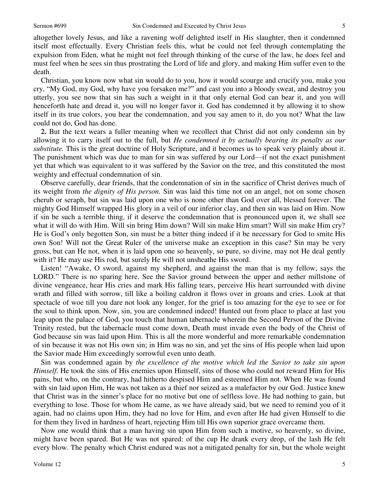altogether lovely Jesus, and like a ravening wolf delighted itself in His slaughter, then it condemned itself most effectually. Every Christian feels this, what he could not feel through contemplating the expulsion from Eden, what he might not feel through thinking of the curse of the law, he does feel and must feel when he sees sin thus prostrating the Lord of life and glory, and making Him suffer even to the death.

 Christian, you know now what sin would do to you, how it would scourge and crucify you, make you cry, "My God, my God, why have you forsaken me?" and cast you into a bloody sweat, and destroy you utterly, you see now that sin has such a weight in it that only eternal God can bear it, and you will henceforth hate and dread it, you will no longer favor it. God has condemned it by allowing it to show itself in its true colors, you hear the condemnation, and you say amen to it, do you not? What the law could not do, God has done.

**2.** But the text wears a fuller meaning when we recollect that Christ did not only condemn sin by allowing it to carry itself out to the full, but *He condemned it by actually bearing its penalty as our substitute.* This is the great doctrine of Holy Scripture, and it becomes us to speak very plainly about it. The punishment which was due to man for sin was suffered by our Lord—if not the exact punishment yet that which was equivalent to it was suffered by the Savior on the tree, and this constituted the most weighty and effectual condemnation of sin.

 Observe carefully, dear friends, that the condemnation of sin in the sacrifice of Christ derives much of its weight from *the dignity of His person.* Sin was laid this time not on an angel, not on some chosen cherub or seraph, but sin was laid upon one who is none other than God over all, blessed forever. The mighty God Himself wrapped His glory in a veil of our inferior clay, and then sin was laid on Him. Now if sin be such a terrible thing, if it deserve the condemnation that is pronounced upon it, we shall see what it will do with Him. Will sin bring Him down? Will sin make Him smart? Will sin make Him cry? He is God's only begotten Son, sin must be a bitter thing indeed if it be necessary for God to smite His own Son! Will not the Great Ruler of the universe make an exception in this case? Sin may be very gross, but can He not, when it is laid upon one so heavenly, so pure, so divine, may not He deal gently with it? He may use His rod, but surely He will not unsheathe His sword.

Listen! "Awake, O sword, against my shepherd, and against the man that is my fellow, says the LORD." There is no sparing here. See the Savior ground between the upper and nether millstone of divine vengeance, hear His cries and mark His falling tears, perceive His heart surrounded with divine wrath and filled with sorrow, till like a boiling caldron it flows over in groans and cries. Look at that spectacle of woe till you dare not look any longer, for the grief is too amazing for the eye to see or for the soul to think upon. Now, sin, you are condemned indeed! Hunted out from place to place at last you leap upon the palace of God, you touch that human tabernacle wherein the Second Person of the Divine Trinity rested, but the tabernacle must come down, Death must invade even the body of the Christ of God because sin was laid upon Him. This is all the more wonderful and more remarkable condemnation of sin because it was not His own sin; in Him was no sin, and yet the sins of His people when laid upon the Savior made Him exceedingly sorrowful even unto death.

 Sin was condemned again by *the excellence of the motive which led the Savior to take sin upon Himself.* He took the sins of His enemies upon Himself, sins of those who could not reward Him for His pains, but who, on the contrary, had hitherto despised Him and esteemed Him not. When He was found with sin laid upon Him, He was not taken as a thief nor seized as a malefactor by our God. Justice knew that Christ was in the sinner's place for no motive but one of selfless love. He had nothing to gain, but everything to lose. Those for whom He came, as we have already said, but we need to remind you of it again, had no claims upon Him, they had no love for Him, and even after He had given Himself to die for them they lived in hardness of heart, rejecting Him till His own superior grace overcame them.

 Now one would think that a man having sin upon Him from such a motive, so heavenly, so divine, might have been spared. But He was not spared: of the cup He drank every drop, of the lash He felt every blow. The penalty which Christ endured was not a mitigated penalty for sin, but the whole weight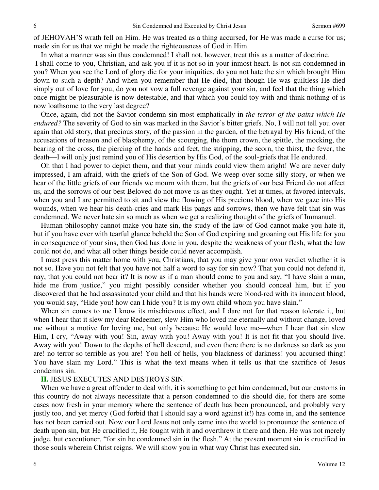of JEHOVAH'S wrath fell on Him. He was treated as a thing accursed, for He was made a curse for us; made sin for us that we might be made the righteousness of God in Him.

In what a manner was sin thus condemned! I shall not, however, treat this as a matter of doctrine.

 I shall come to you, Christian, and ask you if it is not so in your inmost heart. Is not sin condemned in you? When you see the Lord of glory die for your iniquities, do you not hate the sin which brought Him down to such a depth? And when you remember that He died, that though He was guiltless He died simply out of love for you, do you not vow a full revenge against your sin, and feel that the thing which once might be pleasurable is now detestable, and that which you could toy with and think nothing of is now loathsome to the very last degree?

 Once, again, did not the Savior condemn sin most emphatically in *the terror of the pains which He endured?* The severity of God to sin was marked in the Savior's bitter griefs. No, I will not tell you over again that old story, that precious story, of the passion in the garden, of the betrayal by His friend, of the accusations of treason and of blasphemy, of the scourging, the thorn crown, the spittle, the mocking, the bearing of the cross, the piercing of the hands and feet, the stripping, the scorn, the thirst, the fever, the death—I will only just remind you of His desertion by His God, of the soul-griefs that He endured.

 Oh that I had power to depict them, and that your minds could view them aright! We are never duly impressed, I am afraid, with the griefs of the Son of God. We weep over some silly story, or when we hear of the little griefs of our friends we mourn with them, but the griefs of our best Friend do not affect us, and the sorrows of our best Beloved do not move us as they ought. Yet at times, at favored intervals, when you and I are permitted to sit and view the flowing of His precious blood, when we gaze into His wounds, when we hear his death-cries and mark His pangs and sorrows, then we have felt that sin was condemned. We never hate sin so much as when we get a realizing thought of the griefs of Immanuel.

 Human philosophy cannot make you hate sin, the study of the law of God cannot make you hate it, but if you have ever with tearful glance beheld the Son of God expiring and groaning out His life for you in consequence of your sins, then God has done in you, despite the weakness of your flesh, what the law could not do, and what all other things beside could never accomplish.

 I must press this matter home with you, Christians, that you may give your own verdict whether it is not so. Have you not felt that you have not half a word to say for sin now? That you could not defend it, nay, that you could not bear it? It is now as if a man should come to you and say, "I have slain a man, hide me from justice," you might possibly consider whether you should conceal him, but if you discovered that he had assassinated your child and that his hands were blood-red with its innocent blood, you would say, "Hide you! how can I hide you? It is my own child whom you have slain."

 When sin comes to me I know its mischievous effect, and I dare not for that reason tolerate it, but when I hear that it slew my dear Redeemer, slew Him who loved me eternally and without change, loved me without a motive for loving me, but only because He would love me—when I hear that sin slew Him, I cry, "Away with you! Sin, away with you! Away with you! It is not fit that you should live. Away with you! Down to the depths of hell descend, and even there there is no darkness so dark as you are! no terror so terrible as you are! You hell of hells, you blackness of darkness! you accursed thing! You have slain my Lord." This is what the text means when it tells us that the sacrifice of Jesus condemns sin.

### **II.** JESUS EXECUTES AND DESTROYS SIN.

 When we have a great offender to deal with, it is something to get him condemned, but our customs in this country do not always necessitate that a person condemned to die should die, for there are some cases now fresh in your memory where the sentence of death has been pronounced, and probably very justly too, and yet mercy (God forbid that I should say a word against it!) has come in, and the sentence has not been carried out. Now our Lord Jesus not only came into the world to pronounce the sentence of death upon sin, but He crucified it, He fought with it and overthrew it there and then. He was not merely judge, but executioner, "for sin he condemned sin in the flesh." At the present moment sin is crucified in those souls wherein Christ reigns. We will show you in what way Christ has executed sin.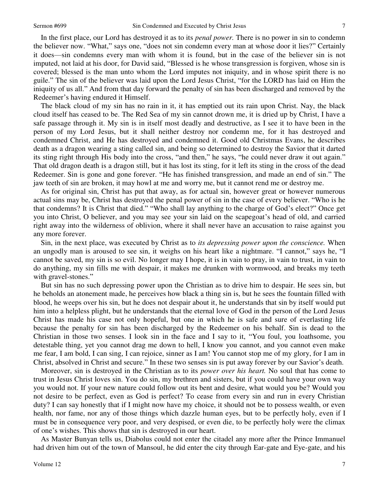In the first place, our Lord has destroyed it as to its *penal power.* There is no power in sin to condemn the believer now. "What," says one, "does not sin condemn every man at whose door it lies?" Certainly it does—sin condemns every man with whom it is found, but in the case of the believer sin is not imputed, not laid at his door, for David said, "Blessed is he whose transgression is forgiven, whose sin is covered; blessed is the man unto whom the Lord imputes not iniquity, and in whose spirit there is no guile." The sin of the believer was laid upon the Lord Jesus Christ, "for the LORD has laid on Him the iniquity of us all." And from that day forward the penalty of sin has been discharged and removed by the Redeemer's having endured it Himself.

 The black cloud of my sin has no rain in it, it has emptied out its rain upon Christ. Nay, the black cloud itself has ceased to be. The Red Sea of my sin cannot drown me, it is dried up by Christ, I have a safe passage through it. My sin is in itself most deadly and destructive, as I see it to have been in the person of my Lord Jesus, but it shall neither destroy nor condemn me, for it has destroyed and condemned Christ, and He has destroyed and condemned it. Good old Christmas Evans, he describes death as a dragon wearing a sting called sin, and being so determined to destroy the Savior that it darted its sting right through His body into the cross, "and then," he says, "he could never draw it out again." That old dragon death is a dragon still, but it has lost its sting, for it left its sting in the cross of the dead Redeemer. Sin is gone and gone forever. "He has finished transgression, and made an end of sin." The jaw teeth of sin are broken, it may howl at me and worry me, but it cannot rend me or destroy me.

 As for original sin, Christ has put that away, as for actual sin, however great or however numerous actual sins may be, Christ has destroyed the penal power of sin in the case of every believer. "Who is he that condemns? It is Christ that died." "Who shall lay anything to the charge of God's elect?" Once get you into Christ, O believer, and you may see your sin laid on the scapegoat's head of old, and carried right away into the wilderness of oblivion, where it shall never have an accusation to raise against you any more forever.

 Sin, in the next place, was executed by Christ as to *its depressing power upon the conscience.* When an ungodly man is aroused to see sin, it weighs on his heart like a nightmare. "I cannot," says he, "I cannot be saved, my sin is so evil. No longer may I hope, it is in vain to pray, in vain to trust, in vain to do anything, my sin fills me with despair, it makes me drunken with wormwood, and breaks my teeth with gravel-stones."

 But sin has no such depressing power upon the Christian as to drive him to despair. He sees sin, but he beholds an atonement made, he perceives how black a thing sin is, but he sees the fountain filled with blood, he weeps over his sin, but he does not despair about it, he understands that sin by itself would put him into a helpless plight, but he understands that the eternal love of God in the person of the Lord Jesus Christ has made his case not only hopeful, but one in which he is safe and sure of everlasting life because the penalty for sin has been discharged by the Redeemer on his behalf. Sin is dead to the Christian in those two senses. I look sin in the face and I say to it, "You foul, you loathsome, you detestable thing, yet you cannot drag me down to hell, I know you cannot, and you cannot even make me fear, I am bold, I can sing, I can rejoice, sinner as I am! You cannot stop me of my glory, for I am in Christ, absolved in Christ and secure." In these two senses sin is put away forever by our Savior's death.

 Moreover, sin is destroyed in the Christian as to its *power over his heart.* No soul that has come to trust in Jesus Christ loves sin. You do sin, my brethren and sisters, but if you could have your own way you would not. If your new nature could follow out its bent and desire, what would you be? Would you not desire to be perfect, even as God is perfect? To cease from every sin and run in every Christian duty? I can say honestly that if I might now have my choice, it should not be to possess wealth, or even health, nor fame, nor any of those things which dazzle human eyes, but to be perfectly holy, even if I must be in consequence very poor, and very despised, or even die, to be perfectly holy were the climax of one's wishes. This shows that sin is destroyed in our heart.

 As Master Bunyan tells us, Diabolus could not enter the citadel any more after the Prince Immanuel had driven him out of the town of Mansoul, he did enter the city through Ear-gate and Eye-gate, and his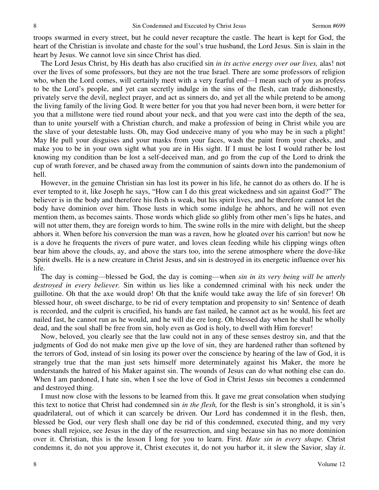troops swarmed in every street, but he could never recapture the castle. The heart is kept for God, the heart of the Christian is involate and chaste for the soul's true husband, the Lord Jesus. Sin is slain in the heart by Jesus. We cannot love sin since Christ has died.

 The Lord Jesus Christ, by His death has also crucified sin *in its active energy over our lives,* alas! not over the lives of some professors, but they are not the true Israel. There are some professors of religion who, when the Lord comes, will certainly meet with a very fearful end—I mean such of you as profess to be the Lord's people, and yet can secretly indulge in the sins of the flesh, can trade dishonestly, privately serve the devil, neglect prayer, and act as sinners do, and yet all the while pretend to be among the living family of the living God. It were better for you that you had never been born, it were better for you that a millstone were tied round about your neck, and that you were cast into the depth of the sea, than to unite yourself with a Christian church, and make a profession of being in Christ while you are the slave of your detestable lusts. Oh, may God undeceive many of you who may be in such a plight! May He pull your disguises and your masks from your faces, wash the paint from your cheeks, and make you to be in your own sight what you are in His sight. If I must be lost I would rather be lost knowing my condition than be lost a self-deceived man, and go from the cup of the Lord to drink the cup of wrath forever, and be chased away from the communion of saints down into the pandemonium of hell.

 However, in the genuine Christian sin has lost its power in his life, he cannot do as others do. If he is ever tempted to it, like Joseph he says, "How can I do this great wickedness and sin against God?" The believer is in the body and therefore his flesh is weak, but his spirit lives, and he therefore cannot let the body have dominion over him. Those lusts in which some indulge he abhors, and he will not even mention them, as becomes saints. Those words which glide so glibly from other men's lips he hates, and will not utter them, they are foreign words to him. The swine rolls in the mire with delight, but the sheep abhors it. When before his conversion the man was a raven, how he gloated over his carrion! but now he is a dove he frequents the rivers of pure water, and loves clean feeding while his clipping wings often bear him above the clouds, ay, and above the stars too, into the serene atmosphere where the dove-like Spirit dwells. He is a new creature in Christ Jesus, and sin is destroyed in its energetic influence over his life.

The day is coming—blessed be God, the day is coming—when *sin in its very being will be utterly destroyed in every believer.* Sin within us lies like a condemned criminal with his neck under the guillotine. Oh that the axe would drop! Oh that the knife would take away the life of sin forever! Oh blessed hour, oh sweet discharge, to be rid of every temptation and propensity to sin! Sentence of death is recorded, and the culprit is crucified, his hands are fast nailed, he cannot act as he would, his feet are nailed fast, he cannot run as he would, and he will die ere long. Oh blessed day when he shall be wholly dead, and the soul shall be free from sin, holy even as God is holy, to dwell with Him forever!

 Now, beloved, you clearly see that the law could not in any of these senses destroy sin, and that the judgments of God do not make men give up the love of sin, they are hardened rather than softened by the terrors of God, instead of sin losing its power over the conscience by hearing of the law of God, it is strangely true that the man just sets himself more determinately against his Maker, the more he understands the hatred of his Maker against sin. The wounds of Jesus can do what nothing else can do. When I am pardoned, I hate sin, when I see the love of God in Christ Jesus sin becomes a condemned and destroyed thing.

 I must now close with the lessons to be learned from this. It gave me great consolation when studying this text to notice that Christ had condemned sin *in the flesh,* for the flesh is sin's stronghold, it is sin's quadrilateral, out of which it can scarcely be driven. Our Lord has condemned it in the flesh, then, blessed be God, our very flesh shall one day be rid of this condemned, executed thing, and my very bones shall rejoice, see Jesus in the day of the resurrection, and sing because sin has no more dominion over it. Christian, this is the lesson I long for you to learn. First. *Hate sin in every shape.* Christ condemns it, do not you approve it, Christ executes it, do not you harbor it, it slew the Savior, slay *it*.